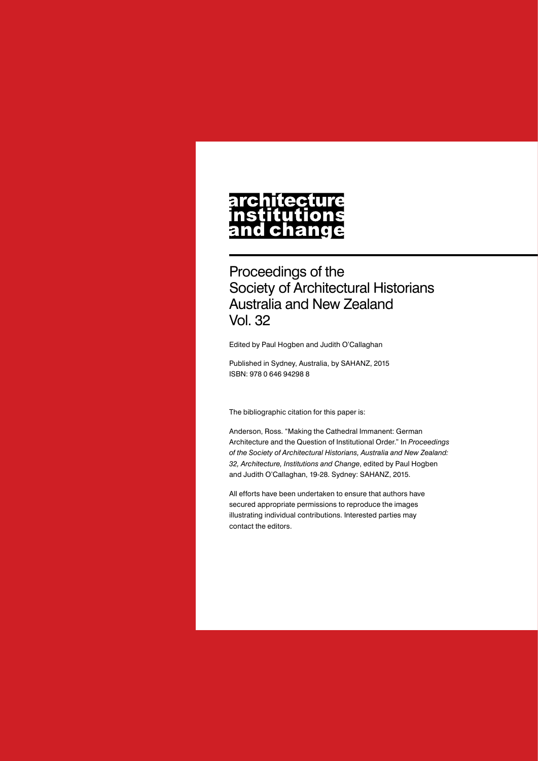## architecture nstitutions<br>and change

Proceedings of the Society of Architectural Historians Australia and New Zealand Vol. 32

Edited by Paul Hogben and Judith O'Callaghan

Published in Sydney, Australia, by SAHANZ, 2015 ISBN: 978 0 646 94298 8

The bibliographic citation for this paper is:

Anderson, Ross. "Making the Cathedral Immanent: German Architecture and the Question of Institutional Order." In *Proceedings of the Society of Architectural Historians, Australia and New Zealand: 32, Architecture, Institutions and Change*, edited by Paul Hogben and Judith O'Callaghan, 19-28. Sydney: SAHANZ, 2015.

All efforts have been undertaken to ensure that authors have secured appropriate permissions to reproduce the images illustrating individual contributions. Interested parties may contact the editors.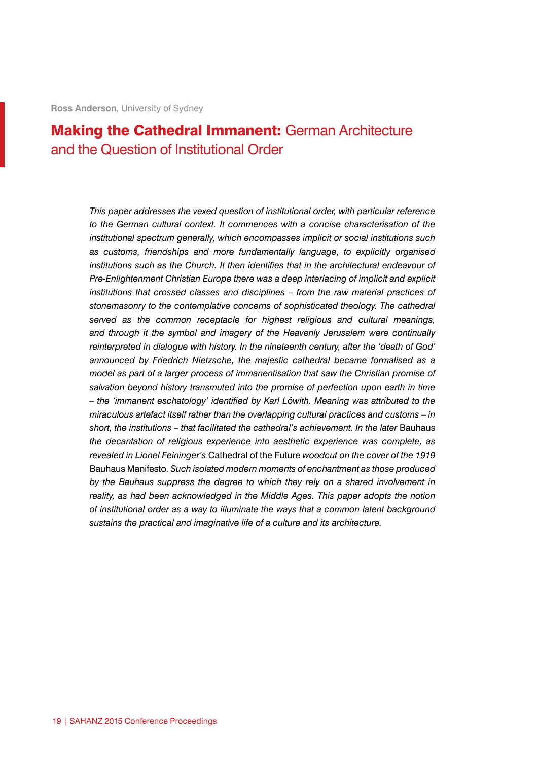## **Making the Cathedral Immanent: German Architecture** and the Question of Institutional Order

*This paper addresses the vexed question of institutional order, with particular reference to the German cultural context. It commences with a concise characterisation of the institutional spectrum generally, which encompasses implicit or social institutions such as customs, friendships and more fundamentally language, to explicitly organised institutions such as the Church. It then identifies that in the architectural endeavour of Pre-Enlightenment Christian Europe there was a deep interlacing of implicit and explicit institutions that crossed classes and disciplines – from the raw material practices of stonemasonry to the contemplative concerns of sophisticated theology. The cathedral served as the common receptacle for highest religious and cultural meanings, and through it the symbol and imagery of the Heavenly Jerusalem were continually reinterpreted in dialogue with history. In the nineteenth century, after the 'death of God' announced by Friedrich Nietzsche, the majestic cathedral became formalised as a model as part of a larger process of immanentisation that saw the Christian promise of salvation beyond history transmuted into the promise of perfection upon earth in time – the 'immanent eschatology' identified by Karl Löwith. Meaning was attributed to the miraculous artefact itself rather than the overlapping cultural practices and customs – in*  short, the institutions – that facilitated the cathedral's achievement. In the later Bauhaus *the decantation of religious experience into aesthetic experience was complete, as revealed in Lionel Feininger's* Cathedral of the Future *woodcut on the cover of the 1919*  Bauhaus Manifesto. *Such isolated modern moments of enchantment as those produced by the Bauhaus suppress the degree to which they rely on a shared involvement in reality, as had been acknowledged in the Middle Ages. This paper adopts the notion of institutional order as a way to illuminate the ways that a common latent background sustains the practical and imaginative life of a culture and its architecture.*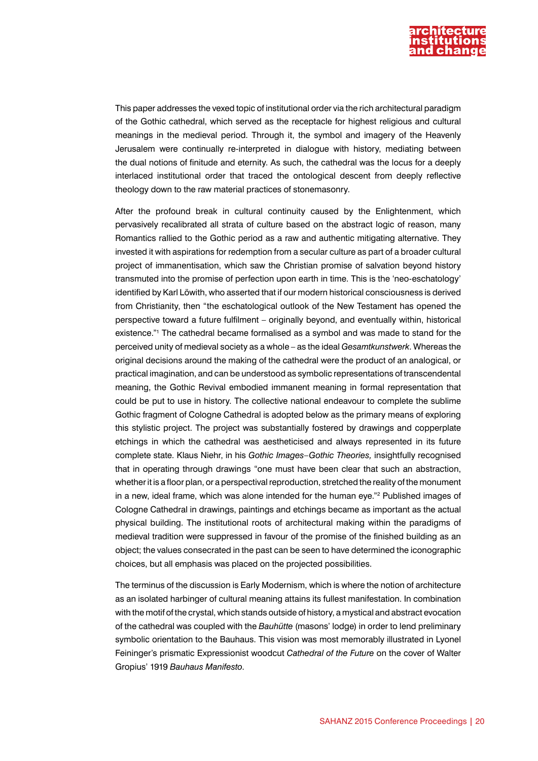

This paper addresses the vexed topic of institutional order via the rich architectural paradigm of the Gothic cathedral, which served as the receptacle for highest religious and cultural meanings in the medieval period. Through it, the symbol and imagery of the Heavenly Jerusalem were continually re-interpreted in dialogue with history, mediating between the dual notions of finitude and eternity. As such, the cathedral was the locus for a deeply interlaced institutional order that traced the ontological descent from deeply reflective theology down to the raw material practices of stonemasonry.

After the profound break in cultural continuity caused by the Enlightenment, which pervasively recalibrated all strata of culture based on the abstract logic of reason, many Romantics rallied to the Gothic period as a raw and authentic mitigating alternative. They invested it with aspirations for redemption from a secular culture as part of a broader cultural project of immanentisation, which saw the Christian promise of salvation beyond history transmuted into the promise of perfection upon earth in time. This is the 'neo-eschatology' identified by Karl Löwith, who asserted that if our modern historical consciousness is derived from Christianity, then "the eschatological outlook of the New Testament has opened the perspective toward a future fulfilment – originally beyond, and eventually within, historical existence."1 The cathedral became formalised as a symbol and was made to stand for the perceived unity of medieval society as a whole – as the ideal *Gesamtkunstwerk*. Whereas the original decisions around the making of the cathedral were the product of an analogical, or practical imagination, and can be understood as symbolic representations of transcendental meaning, the Gothic Revival embodied immanent meaning in formal representation that could be put to use in history. The collective national endeavour to complete the sublime Gothic fragment of Cologne Cathedral is adopted below as the primary means of exploring this stylistic project. The project was substantially fostered by drawings and copperplate etchings in which the cathedral was aestheticised and always represented in its future complete state. Klaus Niehr, in his *Gothic Images–Gothic Theories,* insightfully recognised that in operating through drawings "one must have been clear that such an abstraction, whether it is a floor plan, or a perspectival reproduction, stretched the reality of the monument in a new, ideal frame, which was alone intended for the human eye."<sup>2</sup> Published images of Cologne Cathedral in drawings, paintings and etchings became as important as the actual physical building. The institutional roots of architectural making within the paradigms of medieval tradition were suppressed in favour of the promise of the finished building as an object; the values consecrated in the past can be seen to have determined the iconographic choices, but all emphasis was placed on the projected possibilities.

The terminus of the discussion is Early Modernism, which is where the notion of architecture as an isolated harbinger of cultural meaning attains its fullest manifestation. In combination with the motif of the crystal, which stands outside of history, a mystical and abstract evocation of the cathedral was coupled with the *Bauhütte* (masons' lodge) in order to lend preliminary symbolic orientation to the Bauhaus. This vision was most memorably illustrated in Lyonel Feininger's prismatic Expressionist woodcut *Cathedral of the Future* on the cover of Walter Gropius' 1919 *Bauhaus Manifesto*.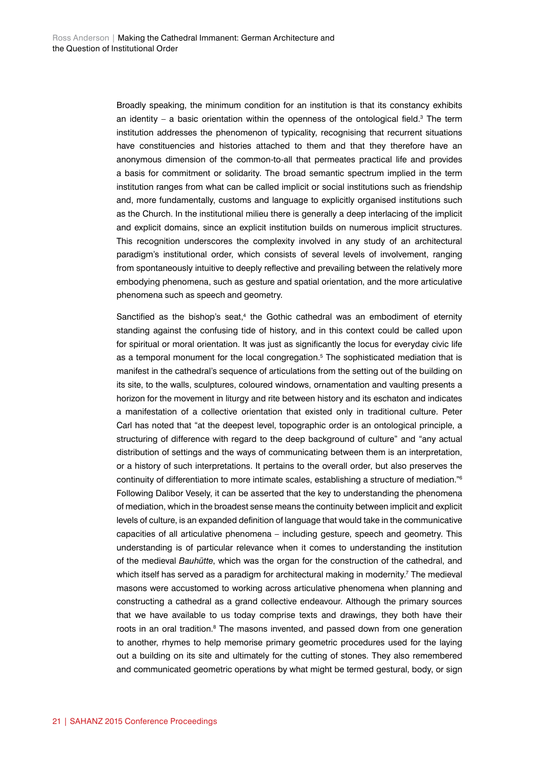Broadly speaking, the minimum condition for an institution is that its constancy exhibits an identity  $-$  a basic orientation within the openness of the ontological field.<sup>3</sup> The term institution addresses the phenomenon of typicality, recognising that recurrent situations have constituencies and histories attached to them and that they therefore have an anonymous dimension of the common-to-all that permeates practical life and provides a basis for commitment or solidarity. The broad semantic spectrum implied in the term institution ranges from what can be called implicit or social institutions such as friendship and, more fundamentally, customs and language to explicitly organised institutions such as the Church. In the institutional milieu there is generally a deep interlacing of the implicit and explicit domains, since an explicit institution builds on numerous implicit structures. This recognition underscores the complexity involved in any study of an architectural paradigm's institutional order, which consists of several levels of involvement, ranging from spontaneously intuitive to deeply reflective and prevailing between the relatively more embodying phenomena, such as gesture and spatial orientation, and the more articulative phenomena such as speech and geometry.

Sanctified as the bishop's seat,<sup>4</sup> the Gothic cathedral was an embodiment of eternity standing against the confusing tide of history, and in this context could be called upon for spiritual or moral orientation. It was just as significantly the locus for everyday civic life as a temporal monument for the local congregation.5 The sophisticated mediation that is manifest in the cathedral's sequence of articulations from the setting out of the building on its site, to the walls, sculptures, coloured windows, ornamentation and vaulting presents a horizon for the movement in liturgy and rite between history and its eschaton and indicates a manifestation of a collective orientation that existed only in traditional culture. Peter Carl has noted that "at the deepest level, topographic order is an ontological principle, a structuring of difference with regard to the deep background of culture" and "any actual distribution of settings and the ways of communicating between them is an interpretation, or a history of such interpretations. It pertains to the overall order, but also preserves the continuity of differentiation to more intimate scales, establishing a structure of mediation."6 Following Dalibor Vesely, it can be asserted that the key to understanding the phenomena of mediation, which in the broadest sense means the continuity between implicit and explicit levels of culture, is an expanded definition of language that would take in the communicative capacities of all articulative phenomena – including gesture, speech and geometry. This understanding is of particular relevance when it comes to understanding the institution of the medieval *Bauhütte*, which was the organ for the construction of the cathedral, and which itself has served as a paradigm for architectural making in modernity.<sup>7</sup> The medieval masons were accustomed to working across articulative phenomena when planning and constructing a cathedral as a grand collective endeavour. Although the primary sources that we have available to us today comprise texts and drawings, they both have their roots in an oral tradition.<sup>8</sup> The masons invented, and passed down from one generation to another, rhymes to help memorise primary geometric procedures used for the laying out a building on its site and ultimately for the cutting of stones. They also remembered and communicated geometric operations by what might be termed gestural, body, or sign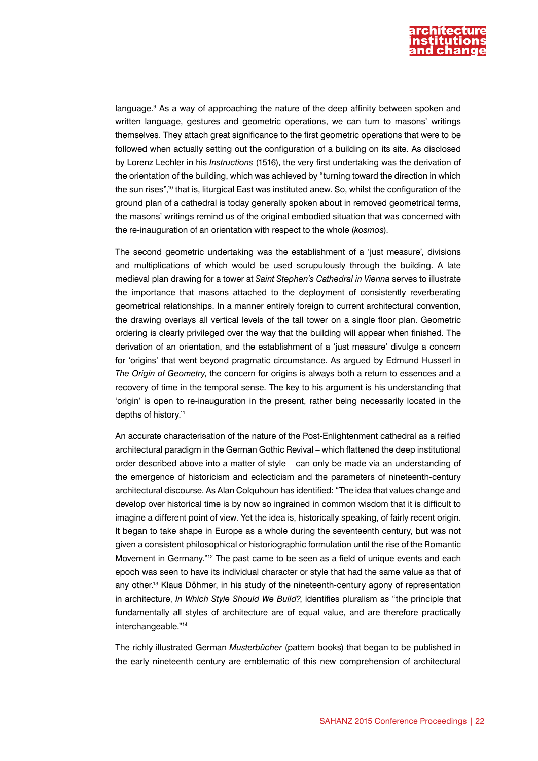

language.<sup>9</sup> As a way of approaching the nature of the deep affinity between spoken and written language, gestures and geometric operations, we can turn to masons' writings themselves. They attach great significance to the first geometric operations that were to be followed when actually setting out the configuration of a building on its site. As disclosed by Lorenz Lechler in his *Instructions* (1516), the very first undertaking was the derivation of the orientation of the building, which was achieved by "turning toward the direction in which the sun rises",<sup>10</sup> that is, liturgical East was instituted anew. So, whilst the configuration of the ground plan of a cathedral is today generally spoken about in removed geometrical terms, the masons' writings remind us of the original embodied situation that was concerned with the re-inauguration of an orientation with respect to the whole (*kosmos*).

The second geometric undertaking was the establishment of a 'just measure', divisions and multiplications of which would be used scrupulously through the building. A late medieval plan drawing for a tower at *Saint Stephen's Cathedral in Vienna* serves to illustrate the importance that masons attached to the deployment of consistently reverberating geometrical relationships. In a manner entirely foreign to current architectural convention, the drawing overlays all vertical levels of the tall tower on a single floor plan. Geometric ordering is clearly privileged over the way that the building will appear when finished. The derivation of an orientation, and the establishment of a 'just measure' divulge a concern for 'origins' that went beyond pragmatic circumstance. As argued by Edmund Husserl in *The Origin of Geometry*, the concern for origins is always both a return to essences and a recovery of time in the temporal sense. The key to his argument is his understanding that 'origin' is open to re-inauguration in the present, rather being necessarily located in the depths of history.11

An accurate characterisation of the nature of the Post-Enlightenment cathedral as a reified architectural paradigm in the German Gothic Revival – which flattened the deep institutional order described above into a matter of style – can only be made via an understanding of the emergence of historicism and eclecticism and the parameters of nineteenth-century architectural discourse. As Alan Colquhoun has identified: "The idea that values change and develop over historical time is by now so ingrained in common wisdom that it is difficult to imagine a different point of view. Yet the idea is, historically speaking, of fairly recent origin. It began to take shape in Europe as a whole during the seventeenth century, but was not given a consistent philosophical or historiographic formulation until the rise of the Romantic Movement in Germany."12 The past came to be seen as a field of unique events and each epoch was seen to have its individual character or style that had the same value as that of any other.13 Klaus Döhmer, in his study of the nineteenth-century agony of representation in architecture, *In Which Style Should We Build?*, identifies pluralism as "the principle that fundamentally all styles of architecture are of equal value, and are therefore practically interchangeable."14

The richly illustrated German *Musterbücher* (pattern books) that began to be published in the early nineteenth century are emblematic of this new comprehension of architectural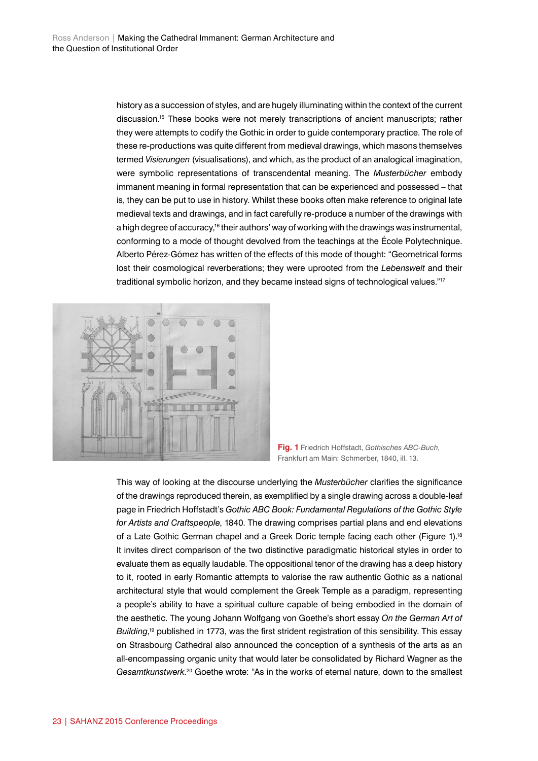history as a succession of styles, and are hugely illuminating within the context of the current discussion.15 These books were not merely transcriptions of ancient manuscripts; rather they were attempts to codify the Gothic in order to guide contemporary practice. The role of these re-productions was quite different from medieval drawings, which masons themselves termed *Visierungen* (visualisations), and which, as the product of an analogical imagination, were symbolic representations of transcendental meaning. The *Musterbücher* embody immanent meaning in formal representation that can be experienced and possessed – that is, they can be put to use in history. Whilst these books often make reference to original late medieval texts and drawings, and in fact carefully re-produce a number of the drawings with a high degree of accuracy,<sup>16</sup> their authors' way of working with the drawings was instrumental, conforming to a mode of thought devolved from the teachings at the École Polytechnique. Alberto Pérez-Gómez has written of the effects of this mode of thought: "Geometrical forms lost their cosmological reverberations; they were uprooted from the *Lebenswelt* and their traditional symbolic horizon, and they became instead signs of technological values."<sup>17</sup>



**Fig. 1** Friedrich Hoffstadt, *Gothisches ABC-Buch*, Frankfurt am Main: Schmerber, 1840, ill. 13.

This way of looking at the discourse underlying the *Musterbücher* clarifies the significance of the drawings reproduced therein, as exemplified by a single drawing across a double-leaf page in Friedrich Hoffstadt's *Gothic ABC Book: Fundamental Regulations of the Gothic Style for Artists and Craftspeople*, 1840. The drawing comprises partial plans and end elevations of a Late Gothic German chapel and a Greek Doric temple facing each other (Figure 1).<sup>18</sup> It invites direct comparison of the two distinctive paradigmatic historical styles in order to evaluate them as equally laudable. The oppositional tenor of the drawing has a deep history to it, rooted in early Romantic attempts to valorise the raw authentic Gothic as a national architectural style that would complement the Greek Temple as a paradigm, representing a people's ability to have a spiritual culture capable of being embodied in the domain of the aesthetic. The young Johann Wolfgang von Goethe's short essay *On the German Art of Building*, 19 published in 1773, was the first strident registration of this sensibility. This essay on Strasbourg Cathedral also announced the conception of a synthesis of the arts as an all-encompassing organic unity that would later be consolidated by Richard Wagner as the *Gesamtkunstwerk*. 20 Goethe wrote: "As in the works of eternal nature, down to the smallest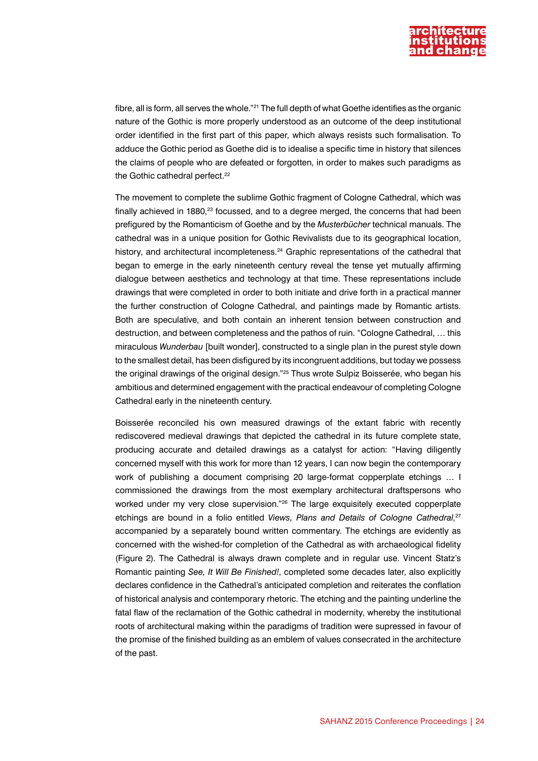

fibre, all is form, all serves the whole."21 The full depth of what Goethe identifies as the organic nature of the Gothic is more properly understood as an outcome of the deep institutional order identified in the first part of this paper, which always resists such formalisation. To adduce the Gothic period as Goethe did is to idealise a specific time in history that silences the claims of people who are defeated or forgotten, in order to makes such paradigms as the Gothic cathedral perfect.<sup>22</sup>

The movement to complete the sublime Gothic fragment of Cologne Cathedral, which was finally achieved in 1880, $^{23}$  focussed, and to a degree merged, the concerns that had been prefigured by the Romanticism of Goethe and by the *Musterbücher* technical manuals. The cathedral was in a unique position for Gothic Revivalists due to its geographical location, history, and architectural incompleteness.<sup>24</sup> Graphic representations of the cathedral that began to emerge in the early nineteenth century reveal the tense yet mutually affirming dialogue between aesthetics and technology at that time. These representations include drawings that were completed in order to both initiate and drive forth in a practical manner the further construction of Cologne Cathedral, and paintings made by Romantic artists. Both are speculative, and both contain an inherent tension between construction and destruction, and between completeness and the pathos of ruin. "Cologne Cathedral, … this miraculous *Wunderbau* [built wonder], constructed to a single plan in the purest style down to the smallest detail, has been disfigured by its incongruent additions, but today we possess the original drawings of the original design."25 Thus wrote Sulpiz Boisserée, who began his ambitious and determined engagement with the practical endeavour of completing Cologne Cathedral early in the nineteenth century.

Boisserée reconciled his own measured drawings of the extant fabric with recently rediscovered medieval drawings that depicted the cathedral in its future complete state, producing accurate and detailed drawings as a catalyst for action: "Having diligently concerned myself with this work for more than 12 years, I can now begin the contemporary work of publishing a document comprising 20 large-format copperplate etchings … I commissioned the drawings from the most exemplary architectural draftspersons who worked under my very close supervision."<sup>26</sup> The large exquisitely executed copperplate etchings are bound in a folio entitled Views, Plans and Details of Cologne Cathedral,<sup>27</sup> accompanied by a separately bound written commentary. The etchings are evidently as concerned with the wished-for completion of the Cathedral as with archaeological fidelity (Figure 2). The Cathedral is always drawn complete and in regular use. Vincent Statz's Romantic painting *See, It Will Be Finished!*, completed some decades later, also explicitly declares confidence in the Cathedral's anticipated completion and reiterates the conflation of historical analysis and contemporary rhetoric. The etching and the painting underline the fatal flaw of the reclamation of the Gothic cathedral in modernity, whereby the institutional roots of architectural making within the paradigms of tradition were supressed in favour of the promise of the finished building as an emblem of values consecrated in the architecture of the past.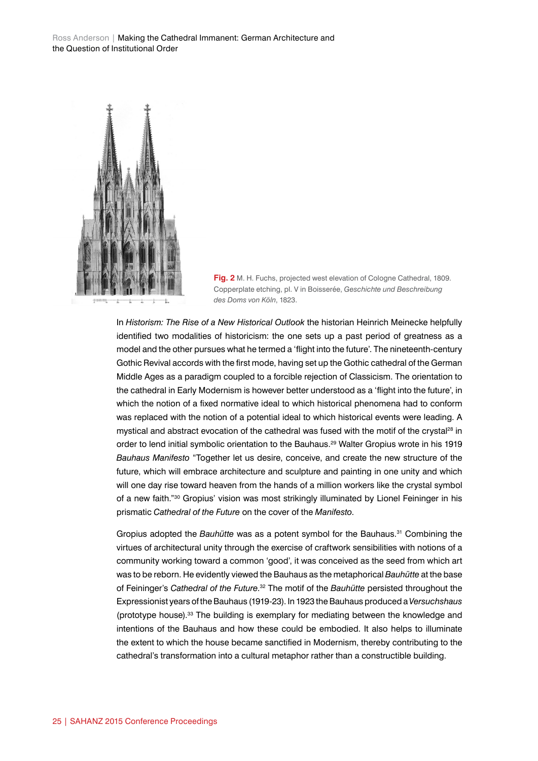Ross Anderson | Making the Cathedral Immanent: German Architecture and the Question of Institutional Order



**Fig. 2** M. H. Fuchs, projected west elevation of Cologne Cathedral, 1809. Copperplate etching, pl. V in Boisserée, *Geschichte und Beschreibung des Doms von Köln*, 1823.

In *Historism: The Rise of a New Historical Outlook* the historian Heinrich Meinecke helpfully identified two modalities of historicism: the one sets up a past period of greatness as a model and the other pursues what he termed a 'flight into the future'. The nineteenth-century Gothic Revival accords with the first mode, having set up the Gothic cathedral of the German Middle Ages as a paradigm coupled to a forcible rejection of Classicism. The orientation to the cathedral in Early Modernism is however better understood as a 'flight into the future', in which the notion of a fixed normative ideal to which historical phenomena had to conform was replaced with the notion of a potential ideal to which historical events were leading. A mystical and abstract evocation of the cathedral was fused with the motif of the crystal<sup>28</sup> in order to lend initial symbolic orientation to the Bauhaus.29 Walter Gropius wrote in his 1919 *Bauhaus Manifesto* "Together let us desire, conceive, and create the new structure of the future, which will embrace architecture and sculpture and painting in one unity and which will one day rise toward heaven from the hands of a million workers like the crystal symbol of a new faith."<sup>30</sup> Gropius' vision was most strikingly illuminated by Lionel Feininger in his prismatic *Cathedral of the Future* on the cover of the *Manifesto*.

Gropius adopted the *Bauhütte* was as a potent symbol for the Bauhaus.<sup>31</sup> Combining the virtues of architectural unity through the exercise of craftwork sensibilities with notions of a community working toward a common 'good', it was conceived as the seed from which art was to be reborn. He evidently viewed the Bauhaus as the metaphorical *Bauhütte* at the base of Feininger's *Cathedral of the Future*. 32 The motif of the *Bauhütte* persisted throughout the Expressionist years of the Bauhaus (1919-23). In 1923 the Bauhaus produced a *Versuchshaus* (prototype house). $33$  The building is exemplary for mediating between the knowledge and intentions of the Bauhaus and how these could be embodied. It also helps to illuminate the extent to which the house became sanctified in Modernism, thereby contributing to the cathedral's transformation into a cultural metaphor rather than a constructible building.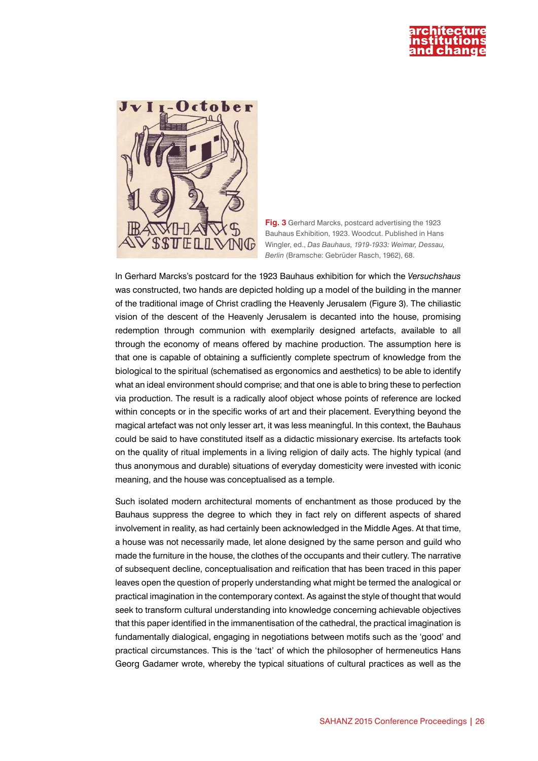

**Fig. 3** Gerhard Marcks, postcard advertising the 1923 Bauhaus Exhibition, 1923. Woodcut. Published in Hans Wingler, ed., *Das Bauhaus, 1919-1933: Weimar, Dessau, Berlin* (Bramsche: Gebrüder Rasch, 1962), 68.

In Gerhard Marcks's postcard for the 1923 Bauhaus exhibition for which the *Versuchshaus* was constructed, two hands are depicted holding up a model of the building in the manner of the traditional image of Christ cradling the Heavenly Jerusalem (Figure 3). The chiliastic vision of the descent of the Heavenly Jerusalem is decanted into the house, promising redemption through communion with exemplarily designed artefacts, available to all through the economy of means offered by machine production. The assumption here is that one is capable of obtaining a sufficiently complete spectrum of knowledge from the biological to the spiritual (schematised as ergonomics and aesthetics) to be able to identify what an ideal environment should comprise; and that one is able to bring these to perfection via production. The result is a radically aloof object whose points of reference are locked within concepts or in the specific works of art and their placement. Everything beyond the magical artefact was not only lesser art, it was less meaningful. In this context, the Bauhaus could be said to have constituted itself as a didactic missionary exercise. Its artefacts took on the quality of ritual implements in a living religion of daily acts. The highly typical (and thus anonymous and durable) situations of everyday domesticity were invested with iconic meaning, and the house was conceptualised as a temple.

Such isolated modern architectural moments of enchantment as those produced by the Bauhaus suppress the degree to which they in fact rely on different aspects of shared involvement in reality, as had certainly been acknowledged in the Middle Ages. At that time, a house was not necessarily made, let alone designed by the same person and guild who made the furniture in the house, the clothes of the occupants and their cutlery. The narrative of subsequent decline, conceptualisation and reification that has been traced in this paper leaves open the question of properly understanding what might be termed the analogical or practical imagination in the contemporary context. As against the style of thought that would seek to transform cultural understanding into knowledge concerning achievable objectives that this paper identified in the immanentisation of the cathedral, the practical imagination is fundamentally dialogical, engaging in negotiations between motifs such as the 'good' and practical circumstances. This is the 'tact' of which the philosopher of hermeneutics Hans Georg Gadamer wrote, whereby the typical situations of cultural practices as well as the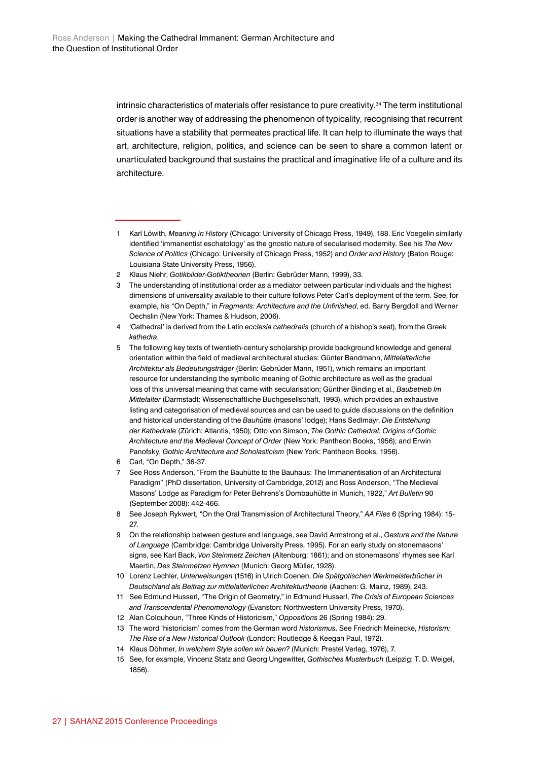intrinsic characteristics of materials offer resistance to pure creativity.34 The term institutional order is another way of addressing the phenomenon of typicality, recognising that recurrent situations have a stability that permeates practical life. It can help to illuminate the ways that art, architecture, religion, politics, and science can be seen to share a common latent or unarticulated background that sustains the practical and imaginative life of a culture and its architecture.

- 2 Klaus Niehr, *Gotikbilder*-*Gotiktheorien* (Berlin: Gebrüder Mann, 1999), 33.
- 3 The understanding of institutional order as a mediator between particular individuals and the highest dimensions of universality available to their culture follows Peter Carl's deployment of the term. See, for example, his "On Depth," in *Fragments: Architecture and the Unfinished*, ed. Barry Bergdoll and Werner Oechslin (New York: Thames & Hudson, 2006).
- 4 'Cathedral' is derived from the Latin *ecclesia cathedralis* (church of a bishop's seat), from the Greek *kathedra*.
- 5 The following key texts of twentieth-century scholarship provide background knowledge and general orientation within the field of medieval architectural studies: Günter Bandmann, *Mittelalterliche Architektur als Bedeutungsträger* (Berlin: Gebrüder Mann, 1951), which remains an important resource for understanding the symbolic meaning of Gothic architecture as well as the gradual loss of this universal meaning that came with secularisation; Günther Binding et al., *Baubetrieb Im Mittelalter* (Darmstadt: Wissenschaftliche Buchgesellschaft, 1993), which provides an exhaustive listing and categorisation of medieval sources and can be used to guide discussions on the definition and historical understanding of the *Bauhütte* (masons' lodge); Hans Sedlmayr, *Die Entstehung der Kathedrale* (Zürich: Atlantis, 1950); Otto von Simson, *The Gothic Cathedral: Origins of Gothic Architecture and the Medieval Concept of Order* (New York: Pantheon Books, 1956); and Erwin Panofsky, *Gothic Architecture and Scholasticism* (New York: Pantheon Books, 1956).
- 6 Carl, "On Depth," 36-37.
- 7 See Ross Anderson, "From the Bauhütte to the Bauhaus: The Immanentisation of an Architectural Paradigm" (PhD dissertation, University of Cambridge, 2012) and Ross Anderson, "The Medieval Masons' Lodge as Paradigm for Peter Behrens's Dombauhütte in Munich, 1922," *Art Bulletin* 90 (September 2008): 442-466.
- 8 See Joseph Rykwert, "On the Oral Transmission of Architectural Theory," *AA Files* 6 (Spring 1984): 15- 27.
- 9 On the relationship between gesture and language, see David Armstrong et al., *Gesture and the Nature of Language* (Cambridge: Cambridge University Press, 1995). For an early study on stonemasons' signs, see Karl Back, *Von Steinmetz Zeichen* (Altenburg: 1861); and on stonemasons' rhymes see Karl Maertin, *Des Steinmetzen Hymnen* (Munich: Georg Müller, 1928).
- 10 Lorenz Lechler, *Unterweisungen* (1516) in Ulrich Coenen, *Die Spätgotischen Werkmeisterbücher in Deutschland als Beitrag zur mittelalterlichen Architekturtheorie* (Aachen: G. Mainz, 1989), 243.
- 11 See Edmund Husserl, "The Origin of Geometry," in Edmund Husserl, *The Crisis of European Sciences and Transcendental Phenomenology* (Evanston: Northwestern University Press, 1970).
- 12 Alan Colquhoun, "Three Kinds of Historicism," *Oppositions* 26 (Spring 1984): 29.
- 13 The word 'historicism' comes from the German word *historismus*. See Friedrich Meinecke, *Historism: The Rise of a New Historical Outlook* (London: Routledge & Keegan Paul, 1972).
- 14 Klaus Döhmer, *In welchem Style sollen wir bauen?* (Munich: Prestel Verlag, 1976), 7.
- 15 See, for example, Vincenz Statz and Georg Ungewitter, *Gothisches Musterbuch* (Leipzig: T. D. Weigel, 1856).

<sup>1</sup> Karl Löwith, *Meaning in History* (Chicago: University of Chicago Press, 1949), 188. Eric Voegelin similarly identified 'immanentist eschatology' as the gnostic nature of secularised modernity. See his *The New Science of Politics* (Chicago: University of Chicago Press, 1952) and *Order and History* (Baton Rouge: Louisiana State University Press, 1956).